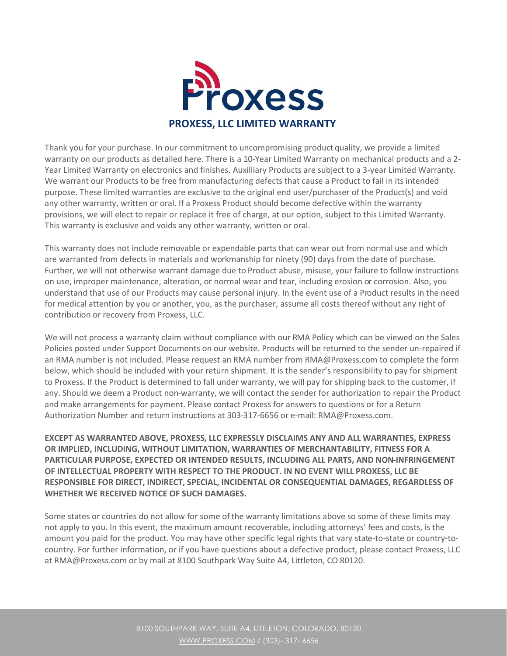

Thank you for your purchase. In our commitment to uncompromising product quality, we provide a limited warranty on our products as detailed here. There is a 10-Year Limited Warranty on mechanical products and a 2- Year Limited Warranty on electronics and finishes. Auxilliary Products are subject to a 3-year Limited Warranty. We warrant our Products to be free from manufacturing defects that cause a Product to fail in its intended purpose. These limited warranties are exclusive to the original end user/purchaser of the Product(s) and void any other warranty, written or oral. If a Proxess Product should become defective within the warranty provisions, we will elect to repair or replace it free of charge, at our option, subject to this Limited Warranty. This warranty is exclusive and voids any other warranty, written or oral.

This warranty does not include removable or expendable parts that can wear out from normal use and which are warranted from defects in materials and workmanship for ninety (90) days from the date of purchase. Further, we will not otherwise warrant damage due to Product abuse, misuse, your failure to follow instructions on use, improper maintenance, alteration, or normal wear and tear, including erosion or corrosion. Also, you understand that use of our Products may cause personal injury. In the event use of a Product results in the need for medical attention by you or another, you, as the purchaser, assume all costs thereof without any right of contribution or recovery from Proxess, LLC.

We will not process a warranty claim without compliance with our RMA Policy which can be viewed on the Sales Policies posted under Support Documents on our website. Products will be returned to the sender un-repaired if an RMA number is not included. Please request an RMA number from RMA@Proxess.com to complete the form below, which should be included with your return shipment. It is the sender's responsibility to pay for shipment to Proxess. If the Product is determined to fall under warranty, we will pay for shipping back to the customer, if any. Should we deem a Product non-warranty, we will contact the sender for authorization to repair the Product and make arrangements for payment. Please contact Proxess for answers to questions or for a Return Authorization Number and return instructions at 303-317-6656 or e-mail: RMA@Proxess.com.

**EXCEPT AS WARRANTED ABOVE, PROXESS, LLC EXPRESSLY DISCLAIMS ANY AND ALL WARRANTIES, EXPRESS OR IMPLIED, INCLUDING, WITHOUT LIMITATION, WARRANTIES OF MERCHANTABILITY, FITNESS FOR A PARTICULAR PURPOSE, EXPECTED OR INTENDED RESULTS, INCLUDING ALL PARTS, AND NON-INFRINGEMENT OF INTELLECTUAL PROPERTY WITH RESPECT TO THE PRODUCT. IN NO EVENT WILL PROXESS, LLC BE RESPONSIBLE FOR DIRECT, INDIRECT, SPECIAL, INCIDENTAL OR CONSEQUENTIAL DAMAGES, REGARDLESS OF WHETHER WE RECEIVED NOTICE OF SUCH DAMAGES.**

Some states or countries do not allow for some of the warranty limitations above so some of these limits may not apply to you. In this event, the maximum amount recoverable, including attorneys' fees and costs, is the amount you paid for the product. You may have other specific legal rights that vary state-to-state or country-tocountry. For further information, or if you have questions about a defective product, please contact Proxess, LLC at RMA@Proxess.com or by mail at 8100 Southpark Way Suite A4, Littleton, CO 80120.